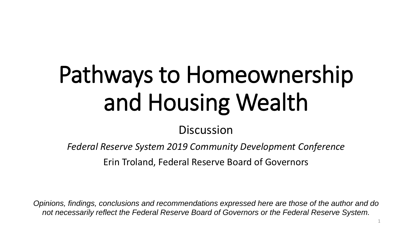# Pathways to Homeownership and Housing Wealth

### **Discussion**

*Federal Reserve System 2019 Community Development Conference*

Erin Troland, Federal Reserve Board of Governors

*Opinions, findings, conclusions and recommendations expressed here are those of the author and do not necessarily reflect the Federal Reserve Board of Governors or the Federal Reserve System.*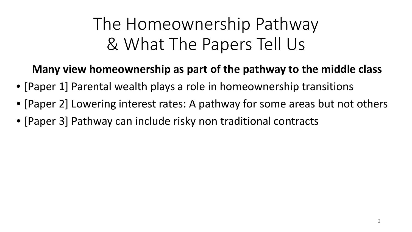# The Homeownership Pathway & What The Papers Tell Us

### **Many view homeownership as part of the pathway to the middle class**

- [Paper 1] Parental wealth plays a role in homeownership transitions
- [Paper 2] Lowering interest rates: A pathway for some areas but not others
- [Paper 3] Pathway can include risky non traditional contracts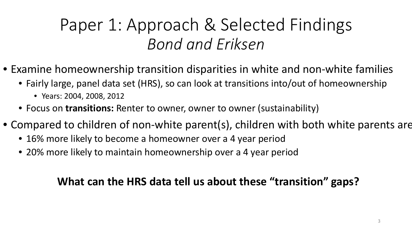# Paper 1: Approach & Selected Findings *Bond and Eriksen*

- Examine homeownership transition disparities in white and non-white families
	- Fairly large, panel data set (HRS), so can look at transitions into/out of homeownership
		- Years: 2004, 2008, 2012
	- Focus on **transitions:** Renter to owner, owner to owner (sustainability)
- Compared to children of non-white parent(s), children with both white parents are
	- 16% more likely to become a homeowner over a 4 year period
	- 20% more likely to maintain homeownership over a 4 year period

### **What can the HRS data tell us about these "transition" gaps?**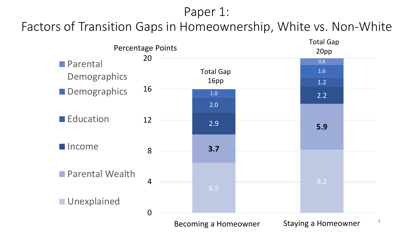### Paper 1:

### Factors of Transition Gaps in Homeownership, White vs. Non-White

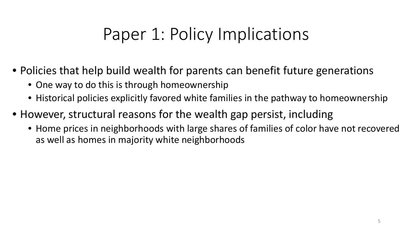# Paper 1: Policy Implications

- Policies that help build wealth for parents can benefit future generations
	- One way to do this is through homeownership
	- Historical policies explicitly favored white families in the pathway to homeownership
- However, structural reasons for the wealth gap persist, including
	- Home prices in neighborhoods with large shares of families of color have not recovered as well as homes in majority white neighborhoods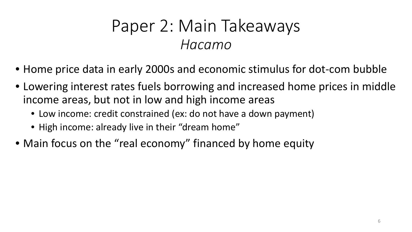### Paper 2: Main Takeaways *Hacamo*

- Home price data in early 2000s and economic stimulus for dot-com bubble
- Lowering interest rates fuels borrowing and increased home prices in middle income areas, but not in low and high income areas
	- Low income: credit constrained (ex: do not have a down payment)
	- High income: already live in their "dream home"
- Main focus on the "real economy" financed by home equity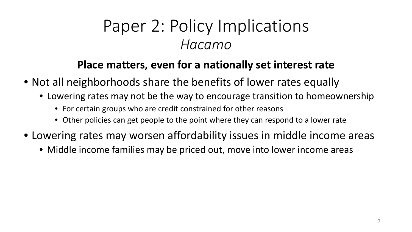### Paper 2: Policy Implications *Hacamo*

### **Place matters, even for a nationally set interest rate**

- Not all neighborhoods share the benefits of lower rates equally
	- Lowering rates may not be the way to encourage transition to homeownership
		- For certain groups who are credit constrained for other reasons
		- Other policies can get people to the point where they can respond to a lower rate
- Lowering rates may worsen affordability issues in middle income areas
	- Middle income families may be priced out, move into lower income areas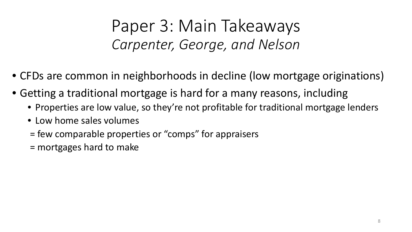Paper 3: Main Takeaways *Carpenter, George, and Nelson*

- CFDs are common in neighborhoods in decline (low mortgage originations)
- Getting a traditional mortgage is hard for a many reasons, including
	- Properties are low value, so they're not profitable for traditional mortgage lenders
	- Low home sales volumes
	- = few comparable properties or "comps" for appraisers
	- = mortgages hard to make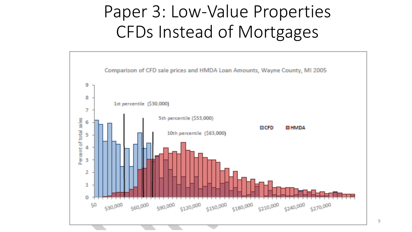# Paper 3: Low-Value Properties CFDs Instead of Mortgages